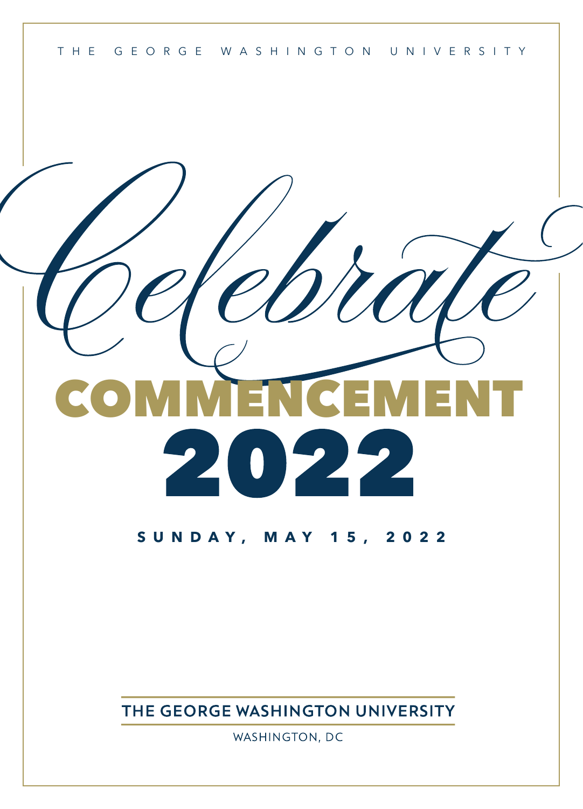

# COMMENCEMENT 2  $\mathcal{L}(\mathcal{L})$

## **SUNDAY, MAY 15, 2022**

THE GEORGE WASHINGTON UNIVERSITY

WASHINGTON, DC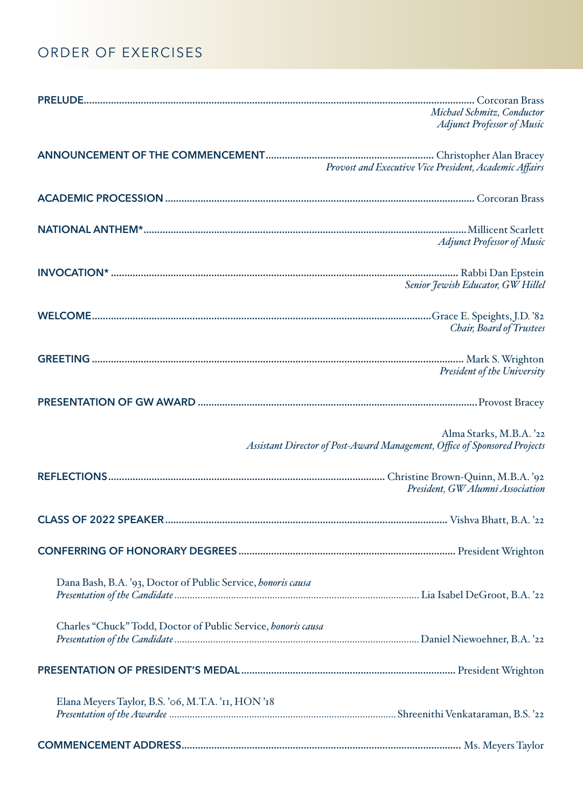# ORDER OF EXERCISES

|                                                               | Michael Schmitz, Conductor<br><b>Adjunct Professor of Music</b>                                      |
|---------------------------------------------------------------|------------------------------------------------------------------------------------------------------|
|                                                               | Provost and Executive Vice President, Academic Affairs                                               |
|                                                               |                                                                                                      |
|                                                               | <b>Adjunct Professor of Music</b>                                                                    |
|                                                               | Senior Jewish Educator, GW Hillel                                                                    |
|                                                               | Chair, Board of Trustees                                                                             |
|                                                               | President of the University                                                                          |
|                                                               |                                                                                                      |
|                                                               | Alma Starks, M.B.A. '22<br>Assistant Director of Post-Award Management, Office of Sponsored Projects |
|                                                               | President, GW Alumni Association                                                                     |
|                                                               |                                                                                                      |
|                                                               |                                                                                                      |
| Dana Bash, B.A. '93, Doctor of Public Service, honoris causa  |                                                                                                      |
| Charles "Chuck" Todd, Doctor of Public Service, honoris causa |                                                                                                      |
|                                                               |                                                                                                      |
| Elana Meyers Taylor, B.S. '06, M.T.A. 'II, HON'18             |                                                                                                      |
|                                                               |                                                                                                      |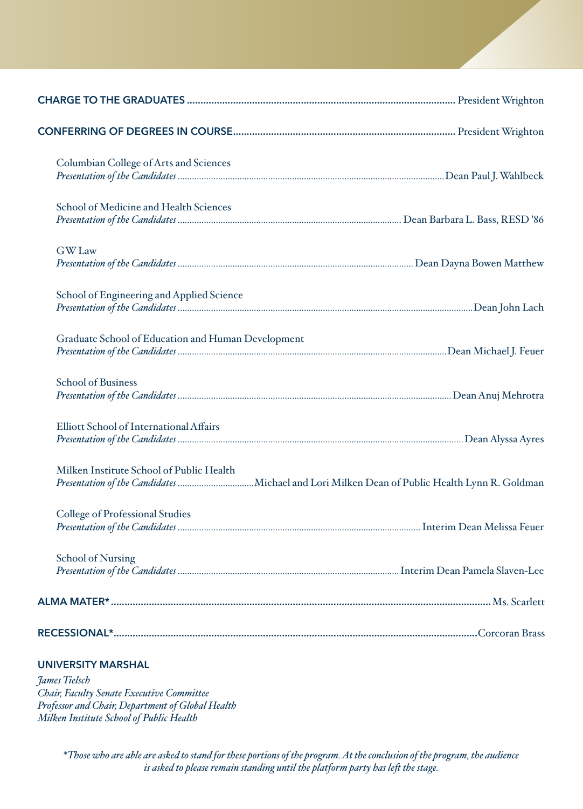<span id="page-2-0"></span>

| Columbian College of Arts and Sciences             |  |
|----------------------------------------------------|--|
| School of Medicine and Health Sciences             |  |
| <b>GW</b> Law                                      |  |
| School of Engineering and Applied Science          |  |
| Graduate School of Education and Human Development |  |
| <b>School of Business</b>                          |  |
| <b>Elliott School of International Affairs</b>     |  |
| Milken Institute School of Public Health           |  |
| <b>College of Professional Studies</b>             |  |
| <b>School of Nursing</b>                           |  |
|                                                    |  |
|                                                    |  |
| <b>UNIVERSITY MARSHAL</b>                          |  |

*James Tielsch Chair, Faculty Senate Executive Committee Professor and Chair, Department of Global Health Milken Institute School of Public Health*

> *\*Those who are able are asked to stand for these portions of the program. At the conclusion of the program, the audience is asked to please remain standing until the platform party has left the stage.*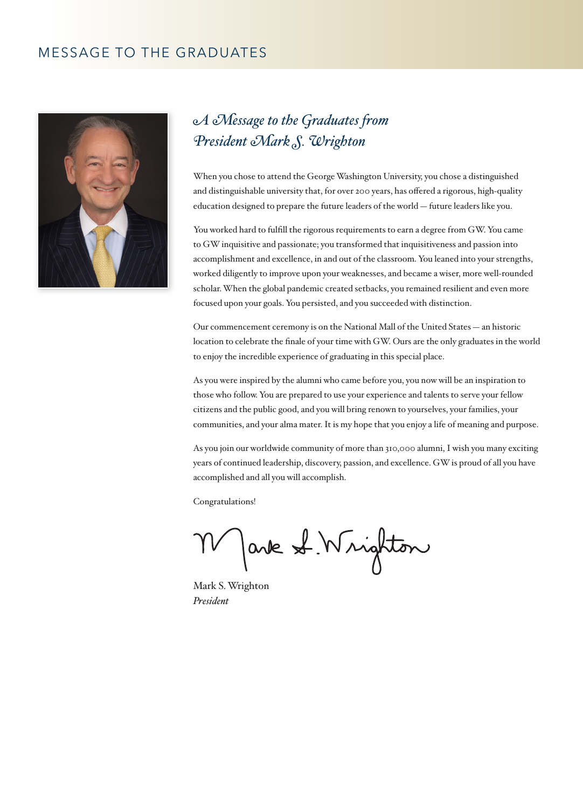## MESSAGE TO THE GRADUATES



# *A Message to the Graduates from President Mark S. Wrighton*

When you chose to attend the George Washington University, you chose a distinguished and distinguishable university that, for over 200 years, has offered a rigorous, high-quality education designed to prepare the future leaders of the world — future leaders like you.

You worked hard to fulfill the rigorous requirements to earn a degree from GW. You came to GW inquisitive and passionate; you transformed that inquisitiveness and passion into accomplishment and excellence, in and out of the classroom. You leaned into your strengths, worked diligently to improve upon your weaknesses, and became a wiser, more well-rounded scholar. When the global pandemic created setbacks, you remained resilient and even more focused upon your goals. You persisted, and you succeeded with distinction.

Our commencement ceremony is on the National Mall of the United States — an historic location to celebrate the finale of your time with GW. Ours are the only graduates in the world to enjoy the incredible experience of graduating in this special place.

As you were inspired by the alumni who came before you, you now will be an inspiration to those who follow. You are prepared to use your experience and talents to serve your fellow citizens and the public good, and you will bring renown to yourselves, your families, your communities, and your alma mater. It is my hope that you enjoy a life of meaning and purpose.

As you join our worldwide community of more than 310,000 alumni, I wish you many exciting years of continued leadership, discovery, passion, and excellence. GW is proud of all you have accomplished and all you will accomplish.

Congratulations!

Jank S. Wrighton

Mark S. Wrighton *President*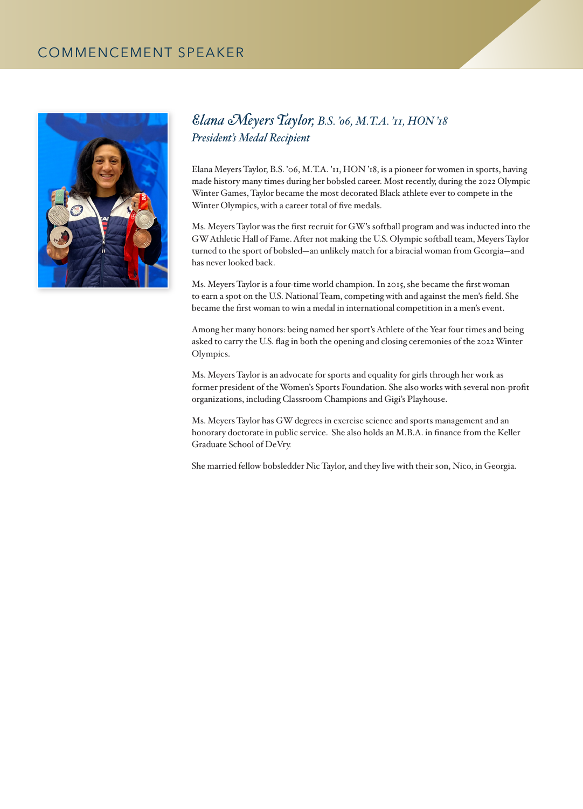## COMMENCEMENT SPEAKER



## *Elana Meyers Taylor, B.S. '06, M.T.A. '11, HON '18 President's Medal Recipient*

Elana Meyers Taylor, B.S. '06, M.T.A. '11, HON '18, is a pioneer for women in sports, having made history many times during her bobsled career. Most recently, during the 2022 Olympic Winter Games, Taylor became the most decorated Black athlete ever to compete in the Winter Olympics, with a career total of five medals.

Ms. Meyers Taylor was the first recruit for GW's softball program and was inducted into the GW Athletic Hall of Fame. After not making the U.S. Olympic softball team, Meyers Taylor turned to the sport of bobsled—an unlikely match for a biracial woman from Georgia—and has never looked back.

Ms. Meyers Taylor is a four-time world champion. In 2015, she became the first woman to earn a spot on the U.S. National Team, competing with and against the men's field. She became the first woman to win a medal in international competition in a men's event.

Among her many honors: being named her sport's Athlete of the Year four times and being asked to carry the U.S. flag in both the opening and closing ceremonies of the 2022 Winter Olympics.

Ms. Meyers Taylor is an advocate for sports and equality for girls through her work as former president of the Women's Sports Foundation. She also works with several non-profit organizations, including Classroom Champions and Gigi's Playhouse.

Ms. Meyers Taylor has GW degrees in exercise science and sports management and an honorary doctorate in public service. She also holds an M.B.A. in finance from the Keller Graduate School of DeVry.

She married fellow bobsledder Nic Taylor, and they live with their son, Nico, in Georgia.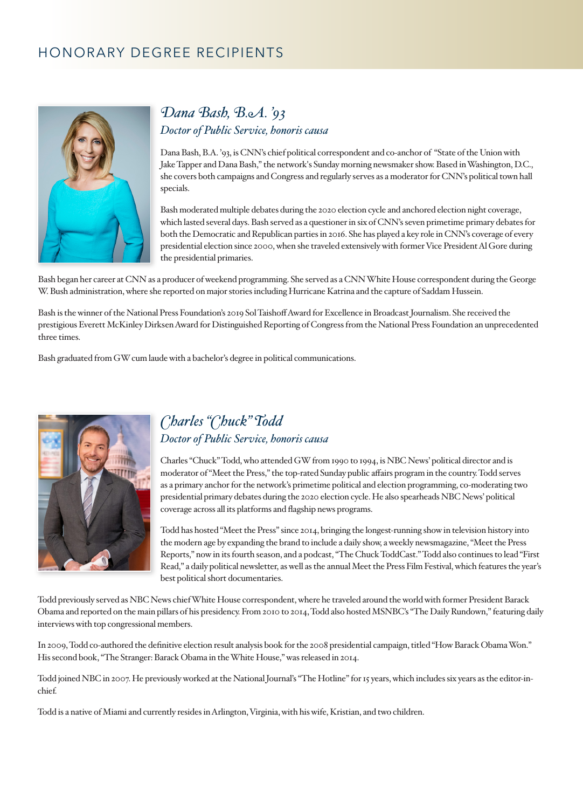## HONORARY DEGREE RECIPIENTS



## *Dana Bash, B.A. '93 Doctor of Public Service, honoris causa*

Dana Bash, B.A. '93, is CNN's chief political correspondent and co-anchor of "State of the Union with Jake Tapper and Dana Bash," the network's Sunday morning newsmaker show. Based in Washington, D.C., she covers both campaigns and Congress and regularly serves as a moderator for CNN's political town hall specials.

Bash moderated multiple debates during the 2020 election cycle and anchored election night coverage, which lasted several days. Bash served as a questioner in six of CNN's seven primetime primary debates for both the Democratic and Republican parties in 2016. She has played a key role in CNN's coverage of every presidential election since 2000, when she traveled extensively with former Vice President Al Gore during the presidential primaries.

Bash began her career at CNN as a producer of weekend programming. She served as a CNN White House correspondent during the George W. Bush administration, where she reported on major stories including Hurricane Katrina and the capture of Saddam Hussein.

Bash is the winner of the National Press Foundation's 2019 Sol Taishoff Award for Excellence in Broadcast Journalism. She received the prestigious Everett McKinley Dirksen Award for Distinguished Reporting of Congress from the National Press Foundation an unprecedented three times.

Bash graduated from GW cum laude with a bachelor's degree in political communications.



## *Charles "Chuck" Todd Doctor of Public Service, honoris causa*

Charles "Chuck" Todd, who attended GW from 1990 to 1994, is NBC News' political director and is moderator of "Meet the Press," the top-rated Sunday public affairs program in the country. Todd serves as a primary anchor for the network's primetime political and election programming, co-moderating two presidential primary debates during the 2020 election cycle. He also spearheads NBC News' political coverage across all its platforms and flagship news programs.

Todd has hosted "Meet the Press" since 2014, bringing the longest-running show in television history into the modern age by expanding the brand to include a daily show, a weekly newsmagazine, "Meet the Press Reports," now in its fourth season, and a podcast, "The Chuck ToddCast." Todd also continues to lead "First Read," a daily political newsletter, as well as the annual Meet the Press Film Festival, which features the year's best political short documentaries.

Todd previously served as NBC News chief White House correspondent, where he traveled around the world with former President Barack Obama and reported on the main pillars of his presidency. From 2010 to 2014, Todd also hosted MSNBC's "The Daily Rundown," featuring daily interviews with top congressional members.

In 2009, Todd co-authored the definitive election result analysis book for the 2008 presidential campaign, titled "How Barack Obama Won." His second book, "The Stranger: Barack Obama in the White House," was released in 2014.

Todd joined NBC in 2007. He previously worked at the National Journal's "The Hotline" for 15 years, which includes six years as the editor-inchief.

Todd is a native of Miami and currently resides in Arlington, Virginia, with his wife, Kristian, and two children.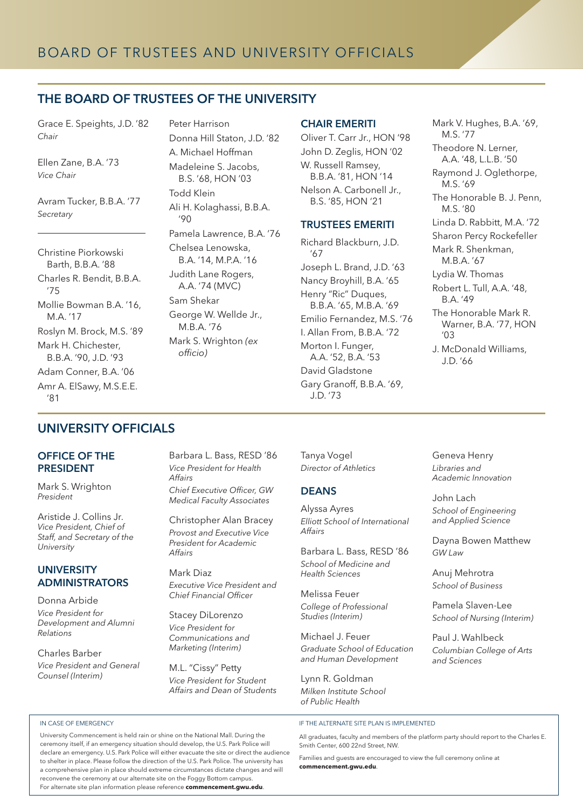### THE BOARD OF TRUSTEES OF THE UNIVERSITY

Grace E. Speights, J.D. '82 *Chair*

Ellen Zane, B.A. '73 *Vice Chair*

Avram Tucker, B.B.A. '77 *Secretary*

Christine Piorkowski Barth, B.B.A. '88 Charles R. Bendit, B.B.A. '75 Mollie Bowman B.A. '16, M.A. '17 Roslyn M. Brock, M.S. '89 Mark H. Chichester, B.B.A. '90, J.D. '93 Adam Conner, B.A. '06 Amr A. ElSawy, M.S.E.E. '81

Peter Harrison Donna Hill Staton, J.D. '82 A. Michael Hoffman Madeleine S. Jacobs, B.S. '68, HON '03 Todd Klein Ali H. Kolaghassi, B.B.A.  $'90$ Pamela Lawrence, B.A. '76 Chelsea Lenowska, B.A. '14, M.P.A. '16 Judith Lane Rogers, A.A. '74 (MVC) Sam Shekar George W. Wellde Jr., M.B.A. '76 Mark S. Wrighton *(ex officio)* 

#### CHAIR EMERITI

Oliver T. Carr Jr., HON '98 John D. Zeglis, HON '02 W. Russell Ramsey, B.B.A. '81, HON '14 Nelson A. Carbonell Jr., B.S. '85, HON '21

#### TRUSTEES EMERITI

Richard Blackburn, J.D. '67 Joseph L. Brand, J.D. '63 Nancy Broyhill, B.A. '65 Henry "Ric" Duques, B.B.A. '65, M.B.A. '69 Emilio Fernandez, M.S. '76 I. Allan From, B.B.A. '72 Morton I. Funger, A.A. '52, B.A. '53 David Gladstone Gary Granoff, B.B.A. '69, J.D. '73

Mark V. Hughes, B.A. '69, M.S. '77 Theodore N. Lerner, A.A. '48, L.L.B. '50 Raymond J. Oglethorpe, M.S. '69 The Honorable B. J. Penn, M.S. '80 Linda D. Rabbitt, M.A. '72 Sharon Percy Rockefeller Mark R. Shenkman, M.B.A. '67 Lydia W. Thomas Robert L. Tull, A.A. '48, B.A. '49 The Honorable Mark R. Warner, B.A. '77, HON  $' \cap 3$ J. McDonald Williams, J.D. '66

Geneva Henry *Libraries and Academic Innovation*

*School of Engineering and Applied Science*

Dayna Bowen Matthew

John Lach

*GW Law*

Anuj Mehrotra *School of Business* Pamela Slaven-Lee *School of Nursing (Interim)*

Paul J. Wahlbeck *Columbian College of Arts* 

*and Sciences*

### UNIVERSITY OFFICIALS

#### OFFICE OF THE PRESIDENT

Mark S. Wrighton *President*

Aristide J. Collins Jr. *Vice President, Chief of Staff, and Secretary of the University*

#### UNIVERSITY ADMINISTRATORS

Donna Arbide *Vice President for Development and Alumni Relations* 

Charles Barber *Vice President and General* 

*Counsel (Interim)*

#### IN CASE OF EMERGENCY

Barbara L. Bass, RESD '86 *Vice President for Health Affairs Chief Executive Officer, GW Medical Faculty Associates*

Christopher Alan Bracey *Provost and Executive Vice President for Academic Affairs* 

Mark Diaz *Executive Vice President and Chief Financial Officer* 

Stacey DiLorenzo *Vice President for Communications and Marketing (Interim)* 

M.L. "Cissy" Petty *Vice President for Student Affairs and Dean of Students*  Tanya Vogel *Director of Athletics*

#### **DEANS**

Alyssa Ayres *Elliott School of International Affairs*

Barbara L. Bass, RESD '86 *School of Medicine and Health Sciences*

Melissa Feuer *College of Professional Studies (Interim)*

Michael J. Feuer *Graduate School of Education and Human Development*

Lynn R. Goldman *Milken Institute School of Public Health*

#### IF THE ALTERNATE SITE PLAN IS IMPLEMENTED

All graduates, faculty and members of the platform party should report to the Charles E. Smith Center, 600 22nd Street, NW.

Families and guests are encouraged to view the full ceremony online at **[commencement.gwu.edu](https://www.commencement.gwu.edu)**.

ceremony itself, if an emergency situation should develop, the U.S. Park Police will declare an emergency. U.S. Park Police will either evacuate the site or direct the audience to shelter in place. Please follow the direction of the U.S. Park Police. The university has a comprehensive plan in place should extreme circumstances dictate changes and will reconvene the ceremony at our alternate site on the Foggy Bottom campus. For alternate site plan information please reference **[commencement.gwu.edu](https://www.commencement.gwu.edu)**.

University Commencement is held rain or shine on the National Mall. During the